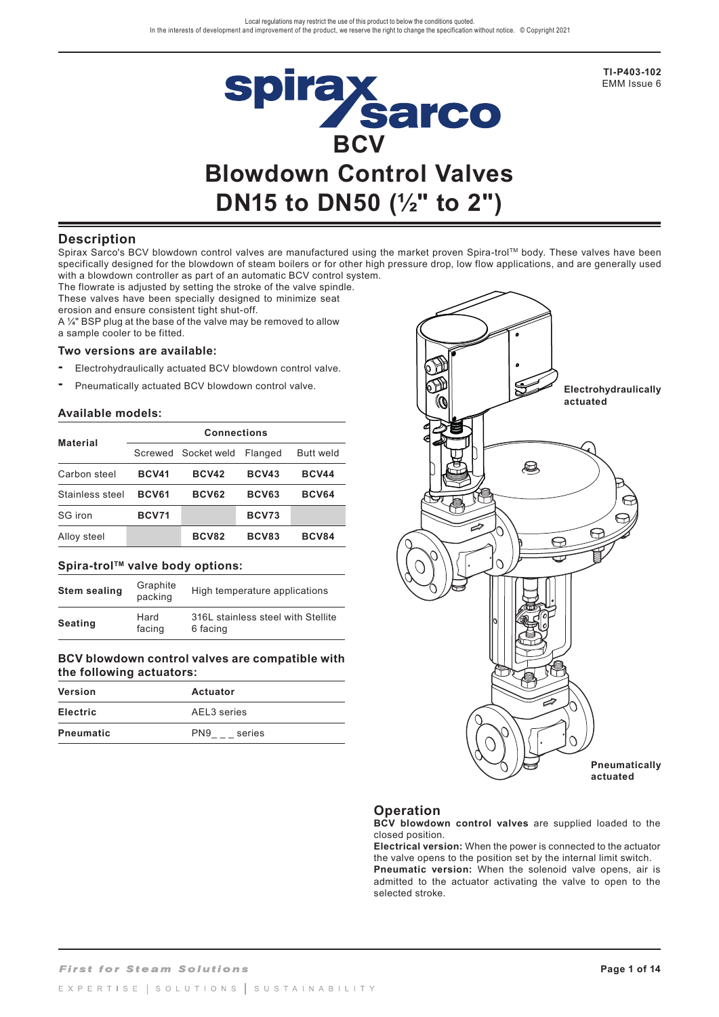

**TI-P403-102** EMM Issue 6

### **Description**

Spirax Sarco's BCV blowdown control valves are manufactured using the market proven Spira-trol™ body. These valves have been specifically designed for the blowdown of steam boilers or for other high pressure drop, low flow applications, and are generally used with a blowdown controller as part of an automatic BCV control system.

The flowrate is adjusted by setting the stroke of the valve spindle. These valves have been specially designed to minimize seat

erosion and ensure consistent tight shut-off.

A ¼" BSP plug at the base of the valve may be removed to allow a sample cooler to be fitted.

### **Two versions are available:**

- **-** Electrohydraulically actuated BCV blowdown control valve.
- **-** Pneumatically actuated BCV blowdown control valve.

#### **Available models:**

|                 | <b>Connections</b> |                     |              |              |  |  |  |  |
|-----------------|--------------------|---------------------|--------------|--------------|--|--|--|--|
| <b>Material</b> |                    | Screwed Socket weld | Flanged      | Butt weld    |  |  |  |  |
| Carbon steel    | <b>BCV41</b>       | <b>BCV42</b>        | BCV43        | <b>BCV44</b> |  |  |  |  |
| Stainless steel | <b>BCV61</b>       | <b>BCV62</b>        | <b>BCV63</b> | <b>BCV64</b> |  |  |  |  |
| SG iron         | <b>BCV71</b>       |                     | <b>BCV73</b> |              |  |  |  |  |
| Alloy steel     |                    | <b>BCV82</b>        | <b>BCV83</b> | <b>BCV84</b> |  |  |  |  |

### Spira-trol<sup>™</sup> valve body options:

| Graphite<br><b>Stem sealing</b><br>packing |                | High temperature applications                  |  |  |  |  |
|--------------------------------------------|----------------|------------------------------------------------|--|--|--|--|
| <b>Seating</b>                             | Hard<br>facing | 316L stainless steel with Stellite<br>6 facing |  |  |  |  |

### **BCV blowdown control valves are compatible with the following actuators:**

| <b>Version</b>   | Actuator      |  |  |  |
|------------------|---------------|--|--|--|
| <b>Electric</b>  | AEL3 series   |  |  |  |
| <b>Pneumatic</b> | PN9<br>series |  |  |  |



### **Operation**

**BCV blowdown control valves** are supplied loaded to the closed position.

**Electrical version:** When the power is connected to the actuator the valve opens to the position set by the internal limit switch.

**Pneumatic version:** When the solenoid valve opens, air is admitted to the actuator activating the valve to open to the selected stroke.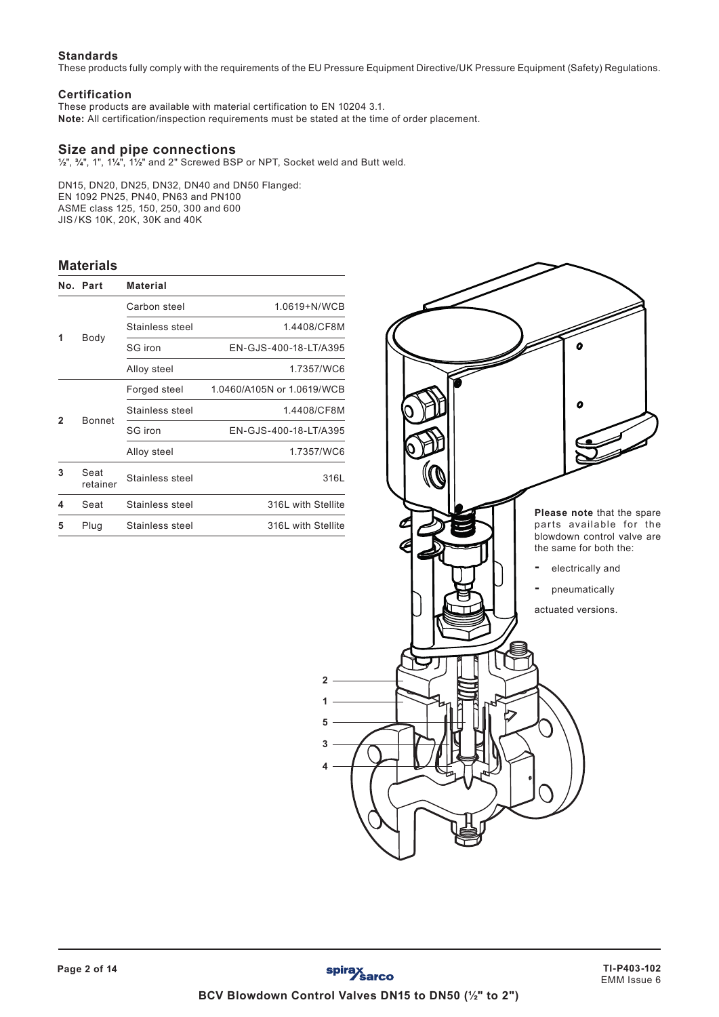### **Standards**

These products fully comply with the requirements of the EU Pressure Equipment Directive/UK Pressure Equipment (Safety) Regulations.

#### **Certification**

These products are available with material certification to EN 10204 3.1. **Note:** All certification/inspection requirements must be stated at the time of order placement.

### **Size and pipe connections**

**½**", **¾**", 1", 1**¼**", 1**½**" and 2" Screwed BSP or NPT, Socket weld and Butt weld.

DN15, DN20, DN25, DN32, DN40 and DN50 Flanged: EN 1092 PN25, PN40, PN63 and PN100 ASME class 125, 150, 250, 300 and 600 JIS/KS 10K, 20K, 30K and 40K

### **Materials**

|   | No. Part         | <b>Material</b> |                            |
|---|------------------|-----------------|----------------------------|
|   |                  | Carbon steel    | 1.0619+N/WCB               |
|   |                  | Stainless steel | 1.4408/CF8M                |
| 1 | Body             | SG iron         | EN-GJS-400-18-LT/A395      |
|   |                  | Alloy steel     | 1.7357/WC6                 |
|   |                  | Forged steel    | 1.0460/A105N or 1.0619/WCB |
|   | <b>Bonnet</b>    | Stainless steel | 1.4408/CF8M                |
| 2 |                  | SG iron         | EN-GJS-400-18-LT/A395      |
|   |                  | Alloy steel     | 1.7357/WC6                 |
| 3 | Seat<br>retainer | Stainless steel | 316L                       |
| 4 | Seat             | Stainless steel | 316L with Stellite         |
| 5 | Plug             | Stainless steel | 316L with Stellite         |



**2**

**5 3**

**1**

**4**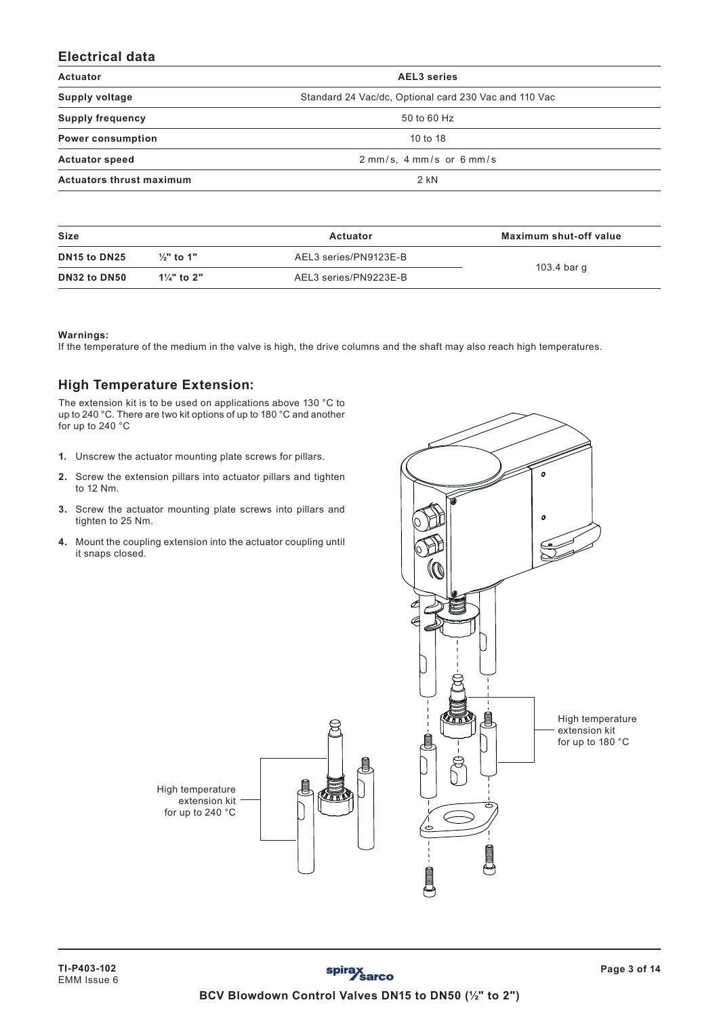# **Electrical data**

| Actuator                        | <b>AEL3</b> series                                      |
|---------------------------------|---------------------------------------------------------|
| Supply voltage                  | Standard 24 Vac/dc, Optional card 230 Vac and 110 Vac   |
| <b>Supply frequency</b>         | 50 to 60 Hz                                             |
| <b>Power consumption</b>        | 10 to 18                                                |
| <b>Actuator speed</b>           | $2 \text{ mm/s}$ , $4 \text{ mm/s}$ or $6 \text{ mm/s}$ |
| <b>Actuators thrust maximum</b> | $2$ kN                                                  |
|                                 |                                                         |

| Size                                                          |                        | Actuator              | Maximum shut-off value |  |  |
|---------------------------------------------------------------|------------------------|-----------------------|------------------------|--|--|
| $\frac{1}{2}$ " to 1"<br>DN <sub>15</sub> to DN <sub>25</sub> |                        | AEL3 series/PN9123E-B |                        |  |  |
| <b>DN32 to DN50</b>                                           | $1\frac{1}{4}$ " to 2" | AEL3 series/PN9223E-B | 103.4 bar g            |  |  |

#### **Warnings:**

If the temperature of the medium in the valve is high, the drive columns and the shaft may also reach high temperatures.

### **High Temperature Extension:**

The extension kit is to be used on applications above 130 °C to up to 240 °C. There are two kit options of up to 180 °C and another for up to 240 °C

- **1.** Unscrew the actuator mounting plate screws for pillars.
- **2.** Screw the extension pillars into actuator pillars and tighten to 12 Nm.
- **3.** Screw the actuator mounting plate screws into pillars and tighten to 25 Nm.
- **4.** Mount the coupling extension into the actuator coupling until it snaps closed.



High temperature extension kit for up to 240 °C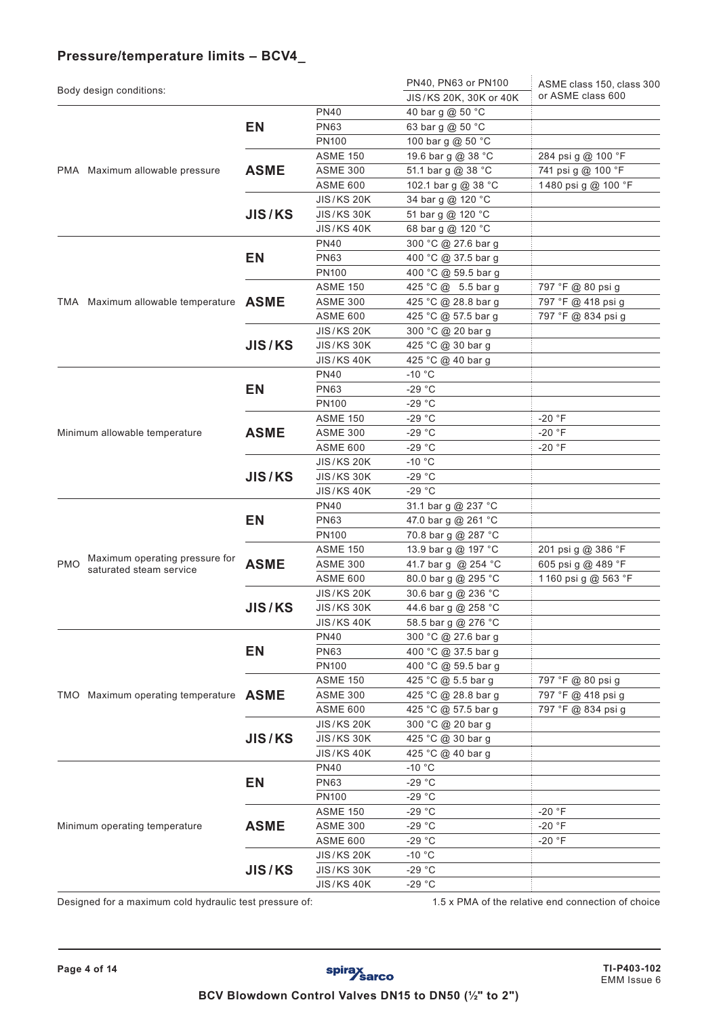# **Pressure/temperature limits – BCV4\_**

| Body design conditions:                                 |                     | PN40, PN63 or PN100<br>ASME class 150, class 300 |                                            |                                                    |  |
|---------------------------------------------------------|---------------------|--------------------------------------------------|--------------------------------------------|----------------------------------------------------|--|
|                                                         |                     |                                                  | JIS/KS 20K, 30K or 40K                     | or ASME class 600                                  |  |
|                                                         |                     | <b>PN40</b>                                      | 40 bar g @ 50 °C                           |                                                    |  |
|                                                         | <b>EN</b>           | <b>PN63</b>                                      | 63 bar g @ 50 °C                           |                                                    |  |
|                                                         |                     | <b>PN100</b>                                     | 100 bar g @ 50 °C                          |                                                    |  |
|                                                         |                     | <b>ASME 150</b>                                  | 19.6 bar g @ 38 °C                         | 284 psi g @ 100 °F                                 |  |
| PMA Maximum allowable pressure                          | <b>ASME</b>         | <b>ASME 300</b>                                  | 51.1 bar g @ 38 °C                         | 741 psi g @ 100 °F                                 |  |
|                                                         |                     | <b>ASME 600</b>                                  | 102.1 bar g @ 38 °C                        | 1480 psi g @ 100 °F                                |  |
|                                                         |                     | <b>JIS/KS 20K</b>                                | 34 bar g @ 120 °C                          |                                                    |  |
|                                                         | <b>JIS/KS</b>       | <b>JIS/KS 30K</b>                                | 51 bar g @ 120 °C                          |                                                    |  |
|                                                         |                     | <b>JIS/KS 40K</b>                                | 68 bar g @ 120 °C                          |                                                    |  |
|                                                         |                     | <b>PN40</b>                                      | 300 °C @ 27.6 bar g                        |                                                    |  |
|                                                         | EN                  | <b>PN63</b>                                      | 400 °C @ 37.5 bar g                        |                                                    |  |
|                                                         |                     | <b>PN100</b>                                     | 400 °C @ 59.5 bar g                        |                                                    |  |
|                                                         |                     | <b>ASME 150</b>                                  | 425 °C @ 5.5 bar g                         | 797 °F @ 80 psi g                                  |  |
| TMA Maximum allowable temperature                       | <b>ASME</b>         | <b>ASME 300</b>                                  | 425 °C @ 28.8 bar g                        | 797 °F @ 418 psi g                                 |  |
|                                                         |                     | <b>ASME 600</b>                                  | 425 °C @ 57.5 bar g                        | 797 °F @ 834 psi g                                 |  |
|                                                         |                     | <b>JIS/KS 20K</b>                                | 300 °C @ 20 bar g                          |                                                    |  |
|                                                         | <b>JIS/KS</b>       | <b>JIS/KS 30K</b>                                | 425 °C @ 30 bar g                          |                                                    |  |
|                                                         |                     | <b>JIS/KS 40K</b>                                | 425 °C @ 40 bar g                          |                                                    |  |
|                                                         |                     | <b>PN40</b>                                      | $-10 °C$                                   |                                                    |  |
|                                                         | <b>EN</b>           | <b>PN63</b>                                      | $-29 °C$                                   |                                                    |  |
|                                                         |                     | <b>PN100</b>                                     | $-29 °C$                                   |                                                    |  |
|                                                         |                     | <b>ASME 150</b>                                  | $-29 °C$                                   | $-20 °F$                                           |  |
| Minimum allowable temperature                           | <b>ASME</b>         | <b>ASME 300</b>                                  | $-29 °C$                                   | $-20 °F$                                           |  |
|                                                         | <b>JIS/KS</b><br>EN | <b>ASME 600</b>                                  | $-29 °C$                                   | $-20$ °F                                           |  |
|                                                         |                     | <b>JIS/KS 20K</b>                                | $-10 °C$                                   |                                                    |  |
|                                                         |                     | <b>JIS/KS 30K</b>                                | $-29 °C$                                   |                                                    |  |
|                                                         |                     | <b>JIS/KS 40K</b>                                | $-29 °C$                                   |                                                    |  |
|                                                         |                     | <b>PN40</b>                                      | 31.1 bar g @ 237 °C                        |                                                    |  |
|                                                         |                     | <b>PN63</b>                                      | 47.0 bar g @ 261 °C                        |                                                    |  |
|                                                         |                     | <b>PN100</b>                                     | 70.8 bar g @ 287 °C                        |                                                    |  |
| Maximum operating pressure for                          | <b>ASME</b>         | <b>ASME 150</b>                                  | 13.9 bar g @ 197 °C                        | 201 psi g @ 386 °F                                 |  |
| <b>PMO</b><br>saturated steam service                   |                     | <b>ASME 300</b>                                  | 41.7 bar g @ 254 °C                        | 605 psi g @ 489 °F                                 |  |
|                                                         |                     | <b>ASME 600</b><br><b>JIS/KS 20K</b>             | 80.0 bar g @ 295 °C                        | 1160 psi g @ 563 °F                                |  |
|                                                         | <b>JIS/KS</b>       | <b>JIS/KS 30K</b>                                | 30.6 bar g @ 236 °C                        |                                                    |  |
|                                                         |                     | <b>JIS/KS 40K</b>                                | 44.6 bar g @ 258 °C<br>58.5 bar g @ 276 °C |                                                    |  |
|                                                         |                     | <b>PN40</b>                                      | 300 °C @ 27.6 bar g                        |                                                    |  |
|                                                         | <b>EN</b>           | <b>PN63</b>                                      | 400 °C @ 37.5 bar g                        |                                                    |  |
|                                                         |                     | <b>PN100</b>                                     | 400 °C @ 59.5 bar g                        |                                                    |  |
|                                                         |                     | <b>ASME 150</b>                                  | 425 °C @ 5.5 bar g                         | 797 °F @ 80 psi g                                  |  |
| TMO Maximum operating temperature                       | <b>ASME</b>         | <b>ASME 300</b>                                  | 425 °C @ 28.8 bar g                        | 797 °F @ 418 psi g                                 |  |
|                                                         |                     | <b>ASME 600</b>                                  | 425 °C @ 57.5 bar g                        | 797 °F @ 834 psi g                                 |  |
|                                                         |                     | <b>JIS/KS 20K</b>                                | 300 °C @ 20 bar g                          |                                                    |  |
|                                                         | <b>JIS/KS</b>       | <b>JIS/KS 30K</b>                                | 425 °C @ 30 bar g                          |                                                    |  |
|                                                         |                     | <b>JIS/KS 40K</b>                                | 425 °C @ 40 bar g                          |                                                    |  |
|                                                         |                     | <b>PN40</b>                                      | $-10 °C$                                   |                                                    |  |
|                                                         | <b>EN</b>           | <b>PN63</b>                                      | $-29 °C$                                   |                                                    |  |
|                                                         |                     | <b>PN100</b>                                     | $-29 °C$                                   |                                                    |  |
|                                                         |                     | <b>ASME 150</b>                                  | $-29 °C$                                   | $-20$ °F                                           |  |
| Minimum operating temperature                           | <b>ASME</b>         | <b>ASME 300</b>                                  | $-29 °C$                                   | $-20$ °F                                           |  |
|                                                         |                     | <b>ASME 600</b>                                  | $-29 °C$                                   | $-20$ °F                                           |  |
|                                                         |                     | <b>JIS/KS 20K</b>                                | $-10 °C$                                   |                                                    |  |
|                                                         | <b>JIS/KS</b>       | JIS/KS 30K                                       | $-29 °C$                                   |                                                    |  |
|                                                         |                     | <b>JIS/KS 40K</b>                                | $-29 °C$                                   |                                                    |  |
| Designed for a maximum cold hydraulic test pressure of: |                     |                                                  |                                            | 1.5 x PMA of the relative end connection of choice |  |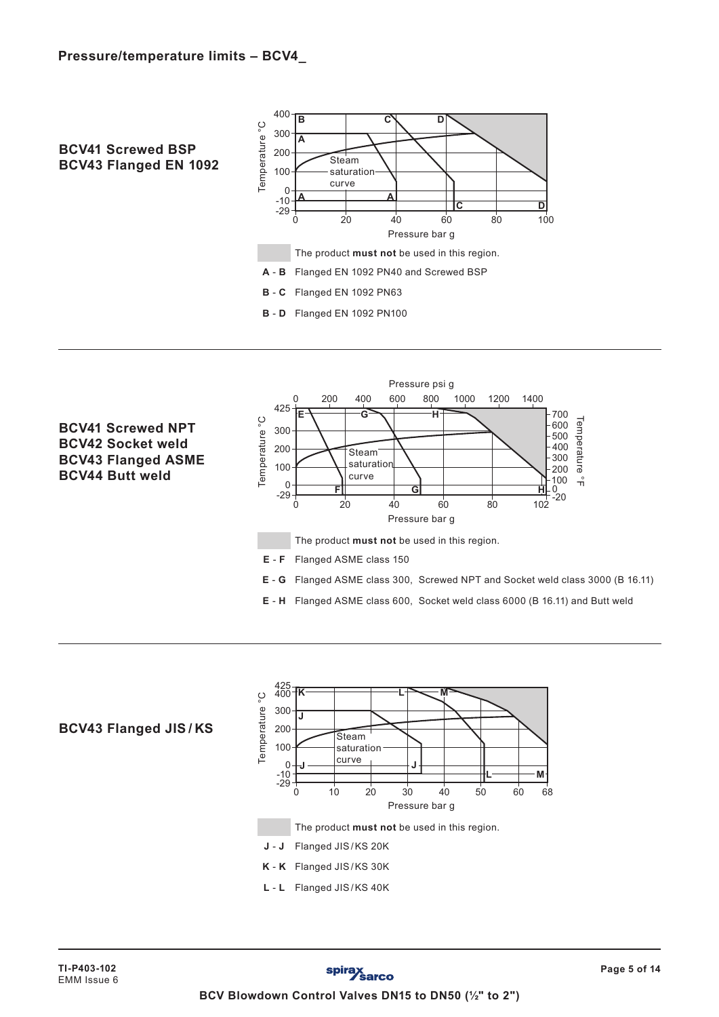



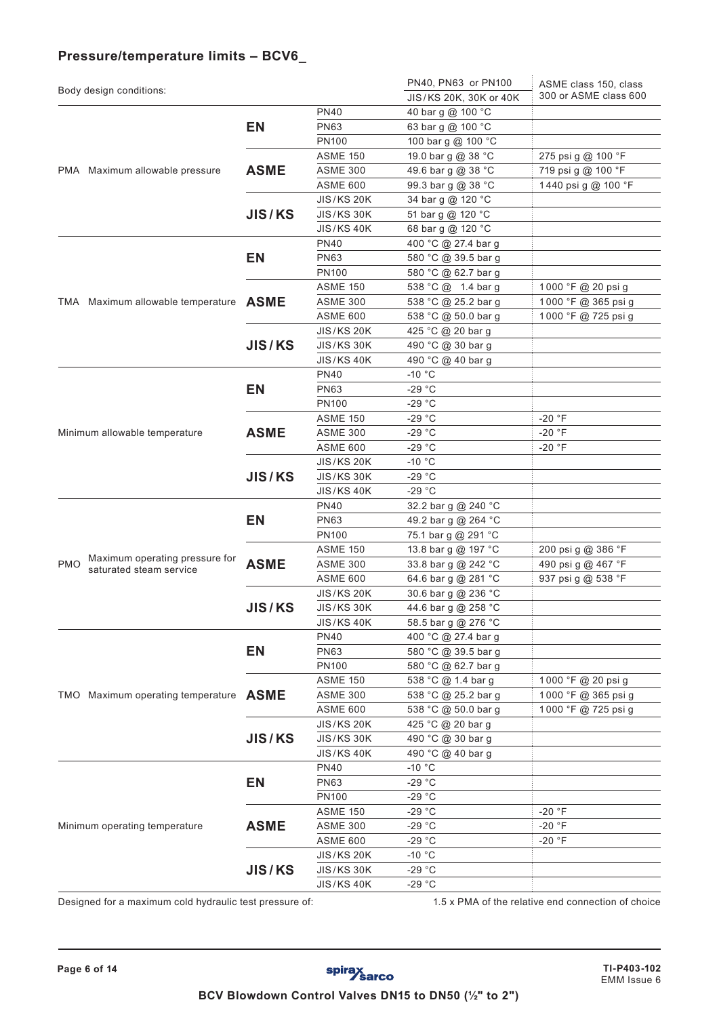# **Pressure/temperature limits – BCV6\_**

|            | Body design conditions:                                   |               | PN40, PN63 or PN100<br>ASME class 150, class |                        |                       |  |
|------------|-----------------------------------------------------------|---------------|----------------------------------------------|------------------------|-----------------------|--|
|            |                                                           |               |                                              | JIS/KS 20K, 30K or 40K | 300 or ASME class 600 |  |
|            |                                                           |               | <b>PN40</b>                                  | 40 bar g @ 100 °C      |                       |  |
|            |                                                           | <b>EN</b>     | <b>PN63</b>                                  | 63 bar g @ 100 °C      |                       |  |
|            |                                                           |               | <b>PN100</b>                                 | 100 bar g @ 100 °C     |                       |  |
|            | PMA Maximum allowable pressure                            |               | <b>ASME 150</b>                              | 19.0 bar g @ 38 °C     | 275 psi g @ 100 °F    |  |
|            |                                                           | <b>ASME</b>   | <b>ASME 300</b>                              | 49.6 bar g @ 38 °C     | 719 psi g @ 100 °F    |  |
|            |                                                           |               | <b>ASME 600</b>                              | 99.3 bar g @ 38 °C     | 1440 psi g @ 100 °F   |  |
|            |                                                           |               | <b>JIS/KS 20K</b>                            | 34 bar g @ 120 °C      |                       |  |
|            |                                                           | <b>JIS/KS</b> | <b>JIS/KS 30K</b>                            | 51 bar g @ 120 °C      |                       |  |
|            |                                                           |               | <b>JIS/KS 40K</b>                            | 68 bar g @ 120 °C      |                       |  |
|            |                                                           |               | <b>PN40</b>                                  | 400 °C @ 27.4 bar g    |                       |  |
|            |                                                           | <b>EN</b>     | <b>PN63</b>                                  | 580 °C @ 39.5 bar g    |                       |  |
|            |                                                           |               | <b>PN100</b>                                 | 580 °C @ 62.7 bar g    |                       |  |
|            |                                                           |               | <b>ASME 150</b>                              | 538 °C @ 1.4 bar g     | 1000 °F @ 20 psi g    |  |
|            | TMA Maximum allowable temperature                         | <b>ASME</b>   | <b>ASME 300</b>                              | 538 °C @ 25.2 bar g    | 1000 °F @ 365 psi g   |  |
|            |                                                           |               | <b>ASME 600</b>                              | 538 °C @ 50.0 bar g    | 1000 °F @ 725 psi g   |  |
|            |                                                           |               | <b>JIS/KS 20K</b>                            | 425 °C @ 20 bar g      |                       |  |
|            |                                                           | <b>JIS/KS</b> | JIS/KS 30K                                   | 490 °C @ 30 bar g      |                       |  |
|            |                                                           |               | <b>JIS/KS 40K</b>                            | 490 °C @ 40 bar g      |                       |  |
|            |                                                           |               | <b>PN40</b>                                  | $-10 °C$               |                       |  |
|            |                                                           | <b>EN</b>     | <b>PN63</b>                                  | $-29 °C$               |                       |  |
|            |                                                           |               | <b>PN100</b>                                 | $-29 °C$               |                       |  |
|            |                                                           |               | <b>ASME 150</b>                              | $-29 °C$               | -20 °F                |  |
|            | Minimum allowable temperature                             | <b>ASME</b>   | <b>ASME 300</b>                              | $-29 °C$               | $-20$ °F              |  |
|            |                                                           |               | <b>ASME 600</b>                              | $-29 °C$               | $-20$ °F              |  |
|            |                                                           |               | <b>JIS/KS 20K</b>                            | $-10 °C$               |                       |  |
|            |                                                           | <b>JIS/KS</b> | <b>JIS/KS 30K</b>                            | $-29 °C$               |                       |  |
|            |                                                           |               | <b>JIS/KS 40K</b>                            | $-29 °C$               |                       |  |
|            |                                                           | EN            | <b>PN40</b>                                  | 32.2 bar g @ 240 °C    |                       |  |
|            |                                                           |               | <b>PN63</b>                                  | 49.2 bar g @ 264 °C    |                       |  |
|            |                                                           |               | <b>PN100</b>                                 | 75.1 bar g @ 291 °C    |                       |  |
|            |                                                           | <b>ASME</b>   | <b>ASME 150</b>                              | 13.8 bar g @ 197 °C    | 200 psi g @ 386 °F    |  |
| <b>PMO</b> | Maximum operating pressure for<br>saturated steam service |               | <b>ASME 300</b>                              | 33.8 bar g @ 242 °C    | 490 psi g @ 467 °F    |  |
|            |                                                           |               | <b>ASME 600</b>                              | 64.6 bar g @ 281 °C    | 937 psi g @ 538 °F    |  |
|            |                                                           |               | <b>JIS/KS 20K</b>                            | 30.6 bar g @ 236 °C    |                       |  |
|            |                                                           | <b>JIS/KS</b> | <b>JIS/KS 30K</b>                            | 44.6 bar g @ 258 °C    |                       |  |
|            |                                                           |               | <b>JIS/KS 40K</b>                            | 58.5 bar g @ 276 °C    |                       |  |
|            |                                                           |               | <b>PN40</b>                                  | 400 °C @ 27.4 bar g    |                       |  |
|            |                                                           | <b>EN</b>     | <b>PN63</b>                                  | 580 °C @ 39.5 bar g    |                       |  |
|            |                                                           |               | <b>PN100</b>                                 | 580 °C @ 62.7 bar g    |                       |  |
|            |                                                           |               | <b>ASME 150</b>                              | 538 °C @ 1.4 bar g     | 1000 °F @ 20 psi g    |  |
|            | TMO Maximum operating temperature                         | <b>ASME</b>   | <b>ASME 300</b>                              | 538 °C @ 25.2 bar g    | 1000 °F @ 365 psi g   |  |
|            |                                                           |               | <b>ASME 600</b>                              | 538 °C @ 50.0 bar g    | 1000 °F @ 725 psi g   |  |
|            |                                                           |               | <b>JIS/KS 20K</b>                            | 425 °C @ 20 bar g      |                       |  |
|            |                                                           | <b>JIS/KS</b> | <b>JIS/KS 30K</b>                            | 490 °C @ 30 bar g      |                       |  |
|            |                                                           |               | <b>JIS/KS 40K</b>                            | 490 °C @ 40 bar g      |                       |  |
|            |                                                           |               | <b>PN40</b>                                  | $-10 °C$               |                       |  |
|            |                                                           | EN            | <b>PN63</b>                                  | $-29 °C$               |                       |  |
|            |                                                           |               | <b>PN100</b>                                 | $-29 °C$               |                       |  |
|            |                                                           |               | <b>ASME 150</b>                              | $-29 °C$               | $-20$ °F              |  |
|            | Minimum operating temperature                             | <b>ASME</b>   | <b>ASME 300</b>                              | $-29 °C$               | $-20$ °F              |  |
|            |                                                           |               |                                              |                        | $-20$ °F              |  |
|            |                                                           |               |                                              |                        |                       |  |
|            |                                                           |               | <b>ASME 600</b>                              | $-29 °C$               |                       |  |
|            |                                                           | <b>JIS/KS</b> | <b>JIS/KS 20K</b><br>JIS/KS 30K              | $-10 °C$<br>$-29 °C$   |                       |  |

Designed for a maximum cold hydraulic test pressure of: 1.5 x PMA of the relative end connection of choice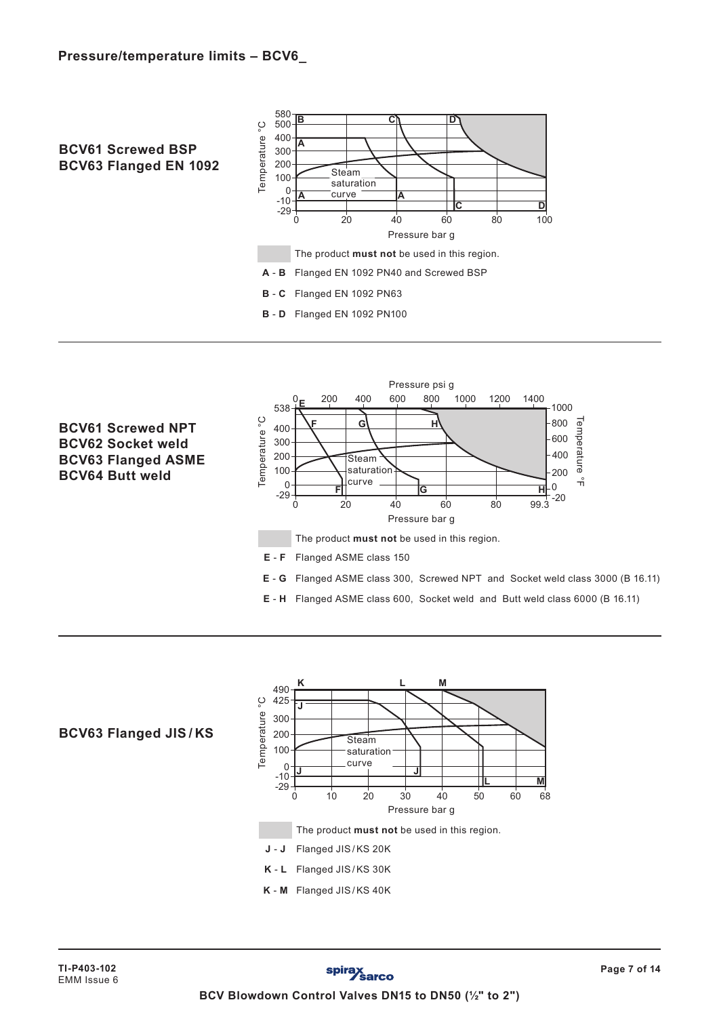





## **BCV63 Flanged JIS / KS**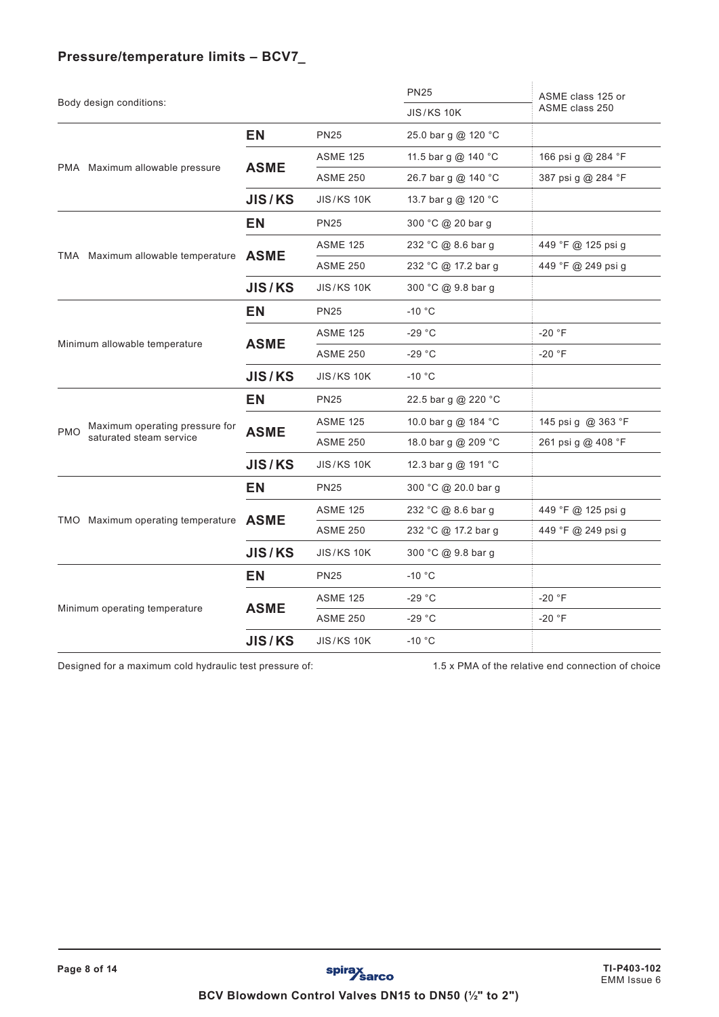# **Pressure/temperature limits – BCV7\_**

|            |                                   |               | <b>PN25</b>       | ASME class 125 or     |                           |  |
|------------|-----------------------------------|---------------|-------------------|-----------------------|---------------------------|--|
|            | Body design conditions:           |               |                   | <b>JIS/KS 10K</b>     | ASME class 250            |  |
|            |                                   | <b>EN</b>     | <b>PN25</b>       | 25.0 bar g @ 120 °C   |                           |  |
|            | PMA Maximum allowable pressure    | <b>ASME</b>   | <b>ASME 125</b>   | 11.5 bar g @ 140 °C   | 166 psi g @ 284 °F        |  |
|            |                                   |               | <b>ASME 250</b>   | 26.7 bar g @ 140 °C   | 387 psi g @ 284 °F        |  |
|            |                                   | <b>JIS/KS</b> | <b>JIS/KS 10K</b> | 13.7 bar g @ 120 °C   |                           |  |
|            |                                   | EN            | <b>PN25</b>       | 300 °C @ 20 bar g     |                           |  |
|            |                                   | <b>ASME</b>   | <b>ASME 125</b>   | 232 °C @ 8.6 bar g    | 449 °F @ 125 psi g        |  |
|            | TMA Maximum allowable temperature |               | <b>ASME 250</b>   | 232 °C @ 17.2 bar g   | 449 °F @ 249 psi g        |  |
|            |                                   | <b>JIS/KS</b> | <b>JIS/KS 10K</b> | 300 °C @ 9.8 bar g    |                           |  |
|            |                                   | <b>EN</b>     | <b>PN25</b>       | $-10 °C$              |                           |  |
|            |                                   |               | <b>ASME 125</b>   | $-29 °C$              | $-20$ °F                  |  |
|            | Minimum allowable temperature     | <b>ASME</b>   | <b>ASME 250</b>   | $-29 °C$              | $-20$ °F                  |  |
|            |                                   | <b>JIS/KS</b> | <b>JIS/KS 10K</b> | $-10 °C$              |                           |  |
|            |                                   | <b>EN</b>     | <b>PN25</b>       | 22.5 bar g @ 220 °C   |                           |  |
|            | Maximum operating pressure for    |               | <b>ASME 125</b>   | 10.0 bar q $@$ 184 °C | 145 psi q $\omega$ 363 °F |  |
| <b>PMO</b> | saturated steam service           | <b>ASME</b>   | <b>ASME 250</b>   | 18.0 bar g @ 209 °C   | 261 psi g @ 408 °F        |  |
|            |                                   | <b>JIS/KS</b> | <b>JIS/KS 10K</b> | 12.3 bar g @ 191 °C   |                           |  |
|            |                                   | <b>EN</b>     | <b>PN25</b>       | 300 °C @ 20.0 bar g   |                           |  |
|            |                                   |               | <b>ASME 125</b>   | 232 °C @ 8.6 bar g    | 449 °F @ 125 psi g        |  |
|            | TMO Maximum operating temperature | <b>ASME</b>   | <b>ASME 250</b>   | 232 °C @ 17.2 bar g   | 449 °F @ 249 psi g        |  |
|            |                                   | <b>JIS/KS</b> | <b>JIS/KS 10K</b> | 300 °C @ 9.8 bar g    |                           |  |
|            |                                   | EN            | <b>PN25</b>       | $-10 °C$              |                           |  |
|            |                                   |               | <b>ASME 125</b>   | $-29 °C$              | $-20$ °F                  |  |
|            | Minimum operating temperature     | <b>ASME</b>   | <b>ASME 250</b>   | $-29 °C$              | $-20 °F$                  |  |
|            |                                   | <b>JIS/KS</b> | <b>JIS/KS 10K</b> | $-10$ °C              |                           |  |

Designed for a maximum cold hydraulic test pressure of: 1.5 x PMA of the relative end connection of choice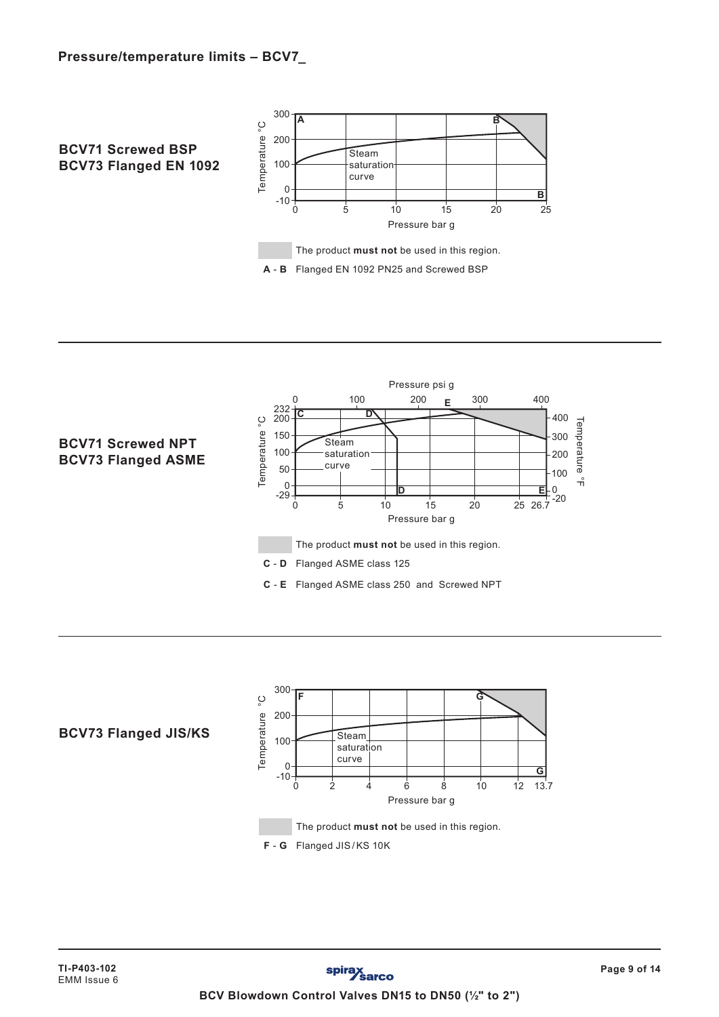





**BCV73 Flanged JIS/KS**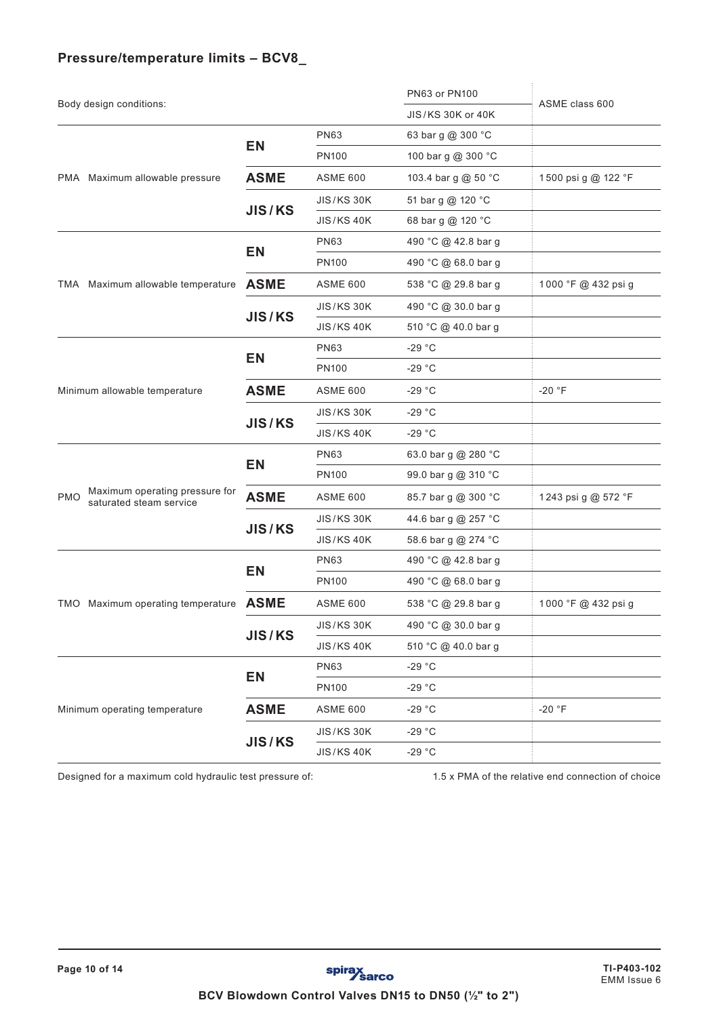# **Pressure/temperature limits – BCV8\_**

|            |                                                           |               |                   | <b>PN63 or PN100</b>     | ASME class 600      |  |
|------------|-----------------------------------------------------------|---------------|-------------------|--------------------------|---------------------|--|
|            | Body design conditions:                                   |               |                   | <b>JIS/KS 30K or 40K</b> |                     |  |
|            |                                                           | <b>EN</b>     | <b>PN63</b>       | 63 bar g @ 300 °C        |                     |  |
|            |                                                           |               | <b>PN100</b>      | 100 bar g @ 300 °C       |                     |  |
|            | PMA Maximum allowable pressure                            | <b>ASME</b>   | <b>ASME 600</b>   | 103.4 bar g @ 50 °C      | 1500 psi g @ 122 °F |  |
|            |                                                           |               | <b>JIS/KS 30K</b> | 51 bar g @ 120 °C        |                     |  |
|            |                                                           | <b>JIS/KS</b> | <b>JIS/KS 40K</b> | 68 bar g @ 120 °C        |                     |  |
|            |                                                           |               | <b>PN63</b>       | 490 °C @ 42.8 bar g      |                     |  |
|            |                                                           | <b>EN</b>     | <b>PN100</b>      | 490 °C @ 68.0 bar g      |                     |  |
|            | TMA Maximum allowable temperature                         | <b>ASME</b>   | <b>ASME 600</b>   | 538 °C @ 29.8 bar g      | 1000 °F @ 432 psi g |  |
|            |                                                           |               | JIS/KS 30K        | 490 °C @ 30.0 bar g      |                     |  |
|            |                                                           | <b>JIS/KS</b> | <b>JIS/KS 40K</b> | 510 °C @ 40.0 bar g      |                     |  |
|            |                                                           |               | <b>PN63</b>       | $-29 °C$                 |                     |  |
|            |                                                           | <b>EN</b>     | <b>PN100</b>      | $-29 °C$                 |                     |  |
|            | Minimum allowable temperature                             | <b>ASME</b>   | <b>ASME 600</b>   | $-29 °C$                 | $-20 °F$            |  |
|            |                                                           |               | JIS/KS 30K        | $-29 °C$                 |                     |  |
|            |                                                           | <b>JIS/KS</b> | <b>JIS/KS 40K</b> | $-29 °C$                 |                     |  |
|            |                                                           |               | <b>PN63</b>       | 63.0 bar g @ 280 °C      |                     |  |
|            |                                                           | <b>EN</b>     | <b>PN100</b>      | 99.0 bar g @ 310 °C      |                     |  |
| <b>PMO</b> | Maximum operating pressure for<br>saturated steam service | <b>ASME</b>   | <b>ASME 600</b>   | 85.7 bar g @ 300 °C      | 1243 psi g @ 572 °F |  |
|            |                                                           |               | <b>JIS/KS 30K</b> | 44.6 bar g @ 257 °C      |                     |  |
|            |                                                           | <b>JIS/KS</b> | <b>JIS/KS 40K</b> | 58.6 bar g @ 274 °C      |                     |  |
|            |                                                           | <b>EN</b>     | <b>PN63</b>       | 490 °C @ 42.8 bar g      |                     |  |
|            |                                                           |               | <b>PN100</b>      | 490 °C @ 68.0 bar g      |                     |  |
|            | TMO Maximum operating temperature                         | <b>ASME</b>   | <b>ASME 600</b>   | 538 °C @ 29.8 bar g      | 1000 °F @ 432 psi g |  |
|            |                                                           |               | JIS/KS 30K        | 490 °C @ 30.0 bar g      |                     |  |
|            |                                                           | <b>JIS/KS</b> | <b>JIS/KS 40K</b> | 510 °C @ 40.0 bar g      |                     |  |
|            |                                                           | <b>EN</b>     | <b>PN63</b>       | $-29 °C$                 |                     |  |
|            |                                                           |               | <b>PN100</b>      | $-29 °C$                 |                     |  |
|            | Minimum operating temperature                             | <b>ASME</b>   | <b>ASME 600</b>   | $-29 °C$                 | $-20$ °F            |  |
|            |                                                           |               | <b>JIS/KS 30K</b> | $-29 °C$                 |                     |  |
|            |                                                           | <b>JIS/KS</b> | JIS/KS 40K        | $-29 °C$                 |                     |  |

Designed for a maximum cold hydraulic test pressure of: 1.5 x PMA of the relative end connection of choice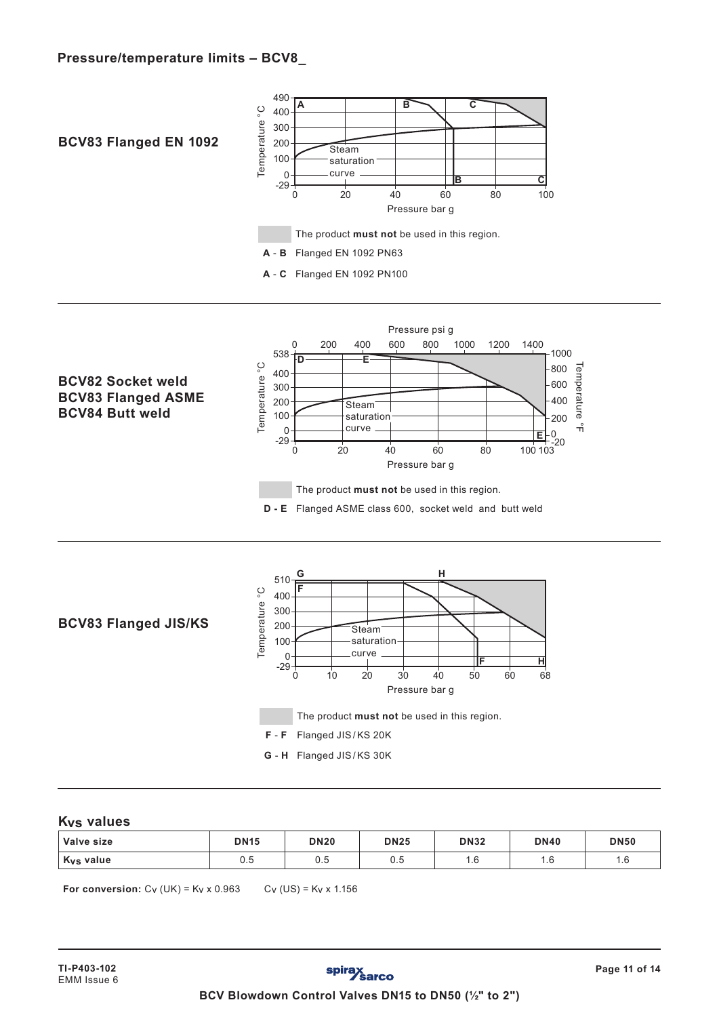

### **Kvs values**

| Valve size            | <b>DN15</b> | <b>DN20</b> |     | <b>DN32</b> | <b>DN40</b> | <b>DN50</b> |  |
|-----------------------|-------------|-------------|-----|-------------|-------------|-------------|--|
| K <sub>vs</sub> value | ∪.⊾         | ∪.∪         | ∪.∪ | 1.U         | ٠.υ         | . u         |  |

**For conversion:**  $C_V$  (UK) =  $K_V$  x 0.963  $C_V$  (US) =  $K_V$  x 1.156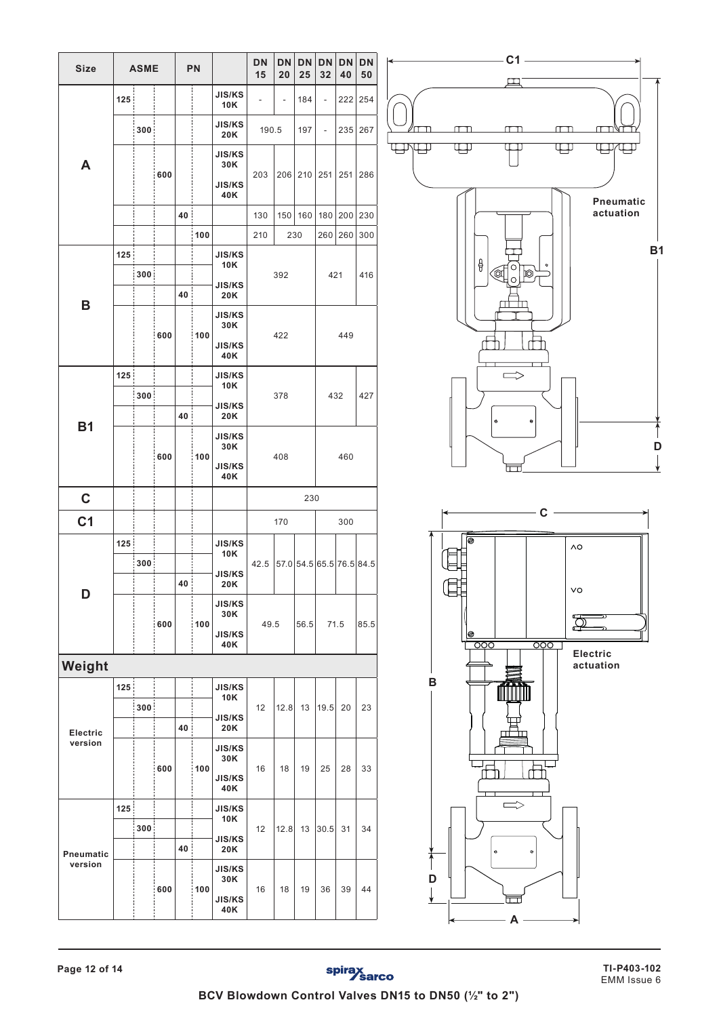| <b>Size</b>         |     | <b>ASME</b>      |     |    | PN                   |                                              | DN<br>DN<br><b>DN</b><br>25<br>15<br>20 |                |         | <b>DN</b><br>32          | <b>DN</b><br>40 | DN<br>50 |
|---------------------|-----|------------------|-----|----|----------------------|----------------------------------------------|-----------------------------------------|----------------|---------|--------------------------|-----------------|----------|
|                     | 125 |                  |     |    |                      | <b>JIS/KS</b><br>10K                         |                                         | $\overline{a}$ | 184     | $\overline{a}$           | 222             | 254      |
|                     |     | 300              |     |    |                      | <b>JIS/KS</b><br>20K                         | 190.5                                   |                | 197     | $\overline{\phantom{0}}$ | 235             | 267      |
| A                   |     |                  | 600 |    |                      | <b>JIS/KS</b><br>30K<br><b>JIS/KS</b><br>40K | 203                                     |                | 206 210 | 251                      | 251             | 286      |
|                     |     |                  |     | 40 |                      |                                              | 130                                     | 150            | 160     | 180                      | 200             | 230      |
|                     |     |                  |     |    | 100                  |                                              | 210                                     |                | 230     | 260                      | 260             | 300      |
|                     | 125 |                  |     |    |                      | <b>JIS/KS</b><br>10K                         |                                         |                |         |                          |                 |          |
|                     |     | 300 <sub>5</sub> |     |    |                      | <b>JIS/KS</b>                                |                                         | 392            |         | 421                      |                 | 416      |
| в                   |     |                  |     | 40 |                      | 20K                                          |                                         |                |         |                          |                 |          |
|                     |     |                  | 600 |    | 100                  | <b>JIS/KS</b><br>30K                         |                                         | 422            |         |                          | 449             |          |
|                     |     |                  |     |    |                      | <b>JIS/KS</b><br>40K                         |                                         |                |         |                          |                 |          |
|                     | 125 | 300              |     |    |                      | <b>JIS/KS</b><br>10K                         |                                         |                |         |                          |                 | 427      |
|                     |     |                  |     | 40 | <b>JIS/KS</b><br>20K | 378                                          |                                         |                | 432     |                          |                 |          |
| <b>B1</b>           |     |                  |     |    |                      | <b>JIS/KS</b><br>30K                         | 408                                     |                |         | 460                      |                 |          |
|                     |     |                  | 600 |    | 100                  | <b>JIS/KS</b><br>40K                         |                                         |                |         |                          |                 |          |
| $\mathbf C$         |     |                  |     |    |                      |                                              |                                         |                | 230     |                          |                 |          |
| C <sub>1</sub>      |     |                  |     |    |                      |                                              |                                         | 170            |         |                          | 300             |          |
|                     |     |                  |     |    |                      |                                              |                                         |                |         |                          |                 |          |
|                     | 125 | 300              |     |    |                      | <b>JIS/KS</b><br>10K                         | 42.5                                    |                |         |                          |                 |          |
|                     |     |                  |     | 40 |                      | <b>JIS/KS</b><br>20K                         |                                         |                |         | 57.0 54.5 65.5 76.5 84.5 |                 |          |
| D                   |     |                  |     |    |                      | <b>JIS/KS</b><br>30K                         |                                         |                |         |                          |                 |          |
|                     |     |                  | 600 |    | 100                  | <b>JIS/KS</b><br>40K                         | 49.5                                    |                | 56.5    |                          | 71.5            | 85.5     |
| Weight              |     |                  |     |    |                      |                                              |                                         |                |         |                          |                 |          |
|                     | 125 |                  |     |    |                      | <b>JIS/KS</b>                                |                                         |                |         |                          |                 |          |
|                     |     | 300              |     |    |                      | 10K<br><b>JIS/KS</b>                         | 12                                      | 12.8           | 13      | 19.5                     | 20              | 23       |
| Electric<br>version |     |                  |     | 40 |                      | 20K                                          |                                         |                |         |                          |                 |          |
|                     |     |                  | 600 |    | 100                  | <b>JIS/KS</b><br>30K                         | 16                                      | 18             | 19      | 25                       | 28              | 33       |
|                     |     |                  |     |    |                      | <b>JIS/KS</b><br>40K                         |                                         |                |         |                          |                 |          |
|                     | 125 |                  |     |    |                      | <b>JIS/KS</b><br>10K                         |                                         |                |         |                          |                 |          |
| Pneumatic           |     | 300              |     | 40 |                      | <b>JIS/KS</b><br>20K                         | 12                                      | 12.8           | 13      | 30.5                     | 31              | 34       |
| version             |     |                  |     |    |                      | <b>JIS/KS</b><br>30K                         |                                         |                |         |                          |                 |          |
|                     |     |                  | 600 |    | 100                  | <b>JIS/KS</b><br>40K                         | 16                                      | 18             | 19      | 36                       | 39              | 44       |



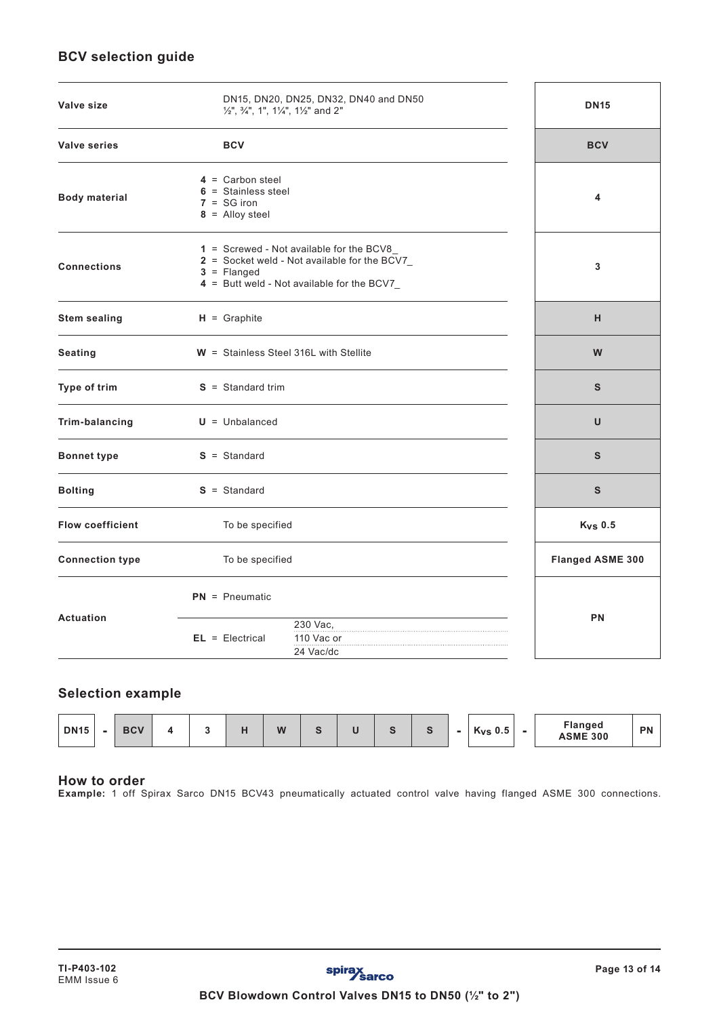# **BCV selection guide**

| Valve size              | 1/2", 3/4", 1", 11/4", 11/2" and 2"                                               | DN15, DN20, DN25, DN32, DN40 and DN50                                                                                                  | <b>DN15</b>      |
|-------------------------|-----------------------------------------------------------------------------------|----------------------------------------------------------------------------------------------------------------------------------------|------------------|
| <b>Valve series</b>     | <b>BCV</b>                                                                        |                                                                                                                                        | <b>BCV</b>       |
| <b>Body material</b>    | $4 =$ Carbon steel<br>$6 =$ Stainless steel<br>$7 = SG$ iron<br>$8 =$ Alloy steel |                                                                                                                                        | 4                |
| <b>Connections</b>      | $3$ = Flanged                                                                     | 1 = Screwed - Not available for the BCV8<br>2 = Socket weld - Not available for the BCV7<br>4 = Butt weld - Not available for the BCV7 | 3                |
| <b>Stem sealing</b>     | $H =$ Graphite                                                                    |                                                                                                                                        | н                |
| <b>Seating</b>          |                                                                                   | $W =$ Stainless Steel 316L with Stellite                                                                                               | W                |
| Type of trim            | $S =$ Standard trim                                                               |                                                                                                                                        | S                |
| Trim-balancing          | $U =$ Unbalanced                                                                  |                                                                                                                                        | U                |
| <b>Bonnet type</b>      | $S =$ Standard                                                                    |                                                                                                                                        | $\mathbf{s}$     |
| <b>Bolting</b>          | $S =$ Standard                                                                    |                                                                                                                                        | $\mathbf{s}$     |
| <b>Flow coefficient</b> | To be specified                                                                   |                                                                                                                                        | $K_{VS}$ 0.5     |
| <b>Connection type</b>  | To be specified                                                                   |                                                                                                                                        | Flanged ASME 300 |
| <b>Actuation</b>        | $PN = P$ neumatic                                                                 | PN                                                                                                                                     |                  |
|                         | $EL = Electrical$                                                                 | 230 Vac.<br>110 Vac or<br>24 Vac/dc                                                                                                    |                  |

# **Selection example**

| <b>DN15</b> |  | <b>BCV</b> |  |  |  | W |  |  |  |  |  | $K_{VS}$ 0.5 | - | Flanged<br><b>ASME 300</b> | <b>PN</b> |
|-------------|--|------------|--|--|--|---|--|--|--|--|--|--------------|---|----------------------------|-----------|
|-------------|--|------------|--|--|--|---|--|--|--|--|--|--------------|---|----------------------------|-----------|

### **How to order**

**Example:** 1 off Spirax Sarco DN15 BCV43 pneumatically actuated control valve having flanged ASME 300 connections.